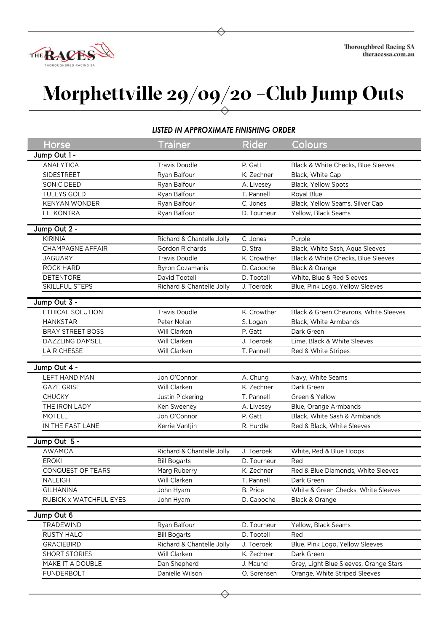

## **Morphettville 29/09/20 –Club Jump Outs**

## *LISTED IN APPROXIMATE FINISHING ORDER*

| Horse                   | <b>Trainer</b>            | <b>Rider</b>          | Colours                                |
|-------------------------|---------------------------|-----------------------|----------------------------------------|
| Jump Out 1 -            |                           |                       |                                        |
| <b>ANALYTICA</b>        | <b>Travis Doudle</b>      | P. Gatt               | Black & White Checks, Blue Sleeves     |
| SIDESTREET              | Ryan Balfour              | K. Zechner            | Black, White Cap                       |
| SONIC DEED              | Ryan Balfour              | A. Livesey            | Black, Yellow Spots                    |
| <b>TULLYS GOLD</b>      | Ryan Balfour              | T. Pannell            | Royal Blue                             |
| <b>KENYAN WONDER</b>    | Ryan Balfour              | C. Jones              | Black, Yellow Seams, Silver Cap        |
| <b>LIL KONTRA</b>       | Ryan Balfour              | D. Tourneur           | Yellow, Black Seams                    |
|                         |                           |                       |                                        |
| Jump Out 2 -            |                           |                       |                                        |
| <b>KIRINIA</b>          | Richard & Chantelle Jolly | C. Jones              | Purple                                 |
| <b>CHAMPAGNE AFFAIR</b> | Gordon Richards           | D. Stra               | Black, White Sash, Aqua Sleeves        |
| <b>JAGUARY</b>          | <b>Travis Doudle</b>      | K. Crowther           | Black & White Checks, Blue Sleeves     |
| <b>ROCK HARD</b>        | <b>Byron Cozamanis</b>    | D. Caboche            | Black & Orange                         |
| <b>DETENTORE</b>        | David Tootell             | D. Tootell            | White, Blue & Red Sleeves              |
| SKILLFUL STEPS          | Richard & Chantelle Jolly | J. Toeroek            | Blue, Pink Logo, Yellow Sleeves        |
|                         |                           |                       |                                        |
| Jump Out 3 -            |                           |                       |                                        |
| ETHICAL SOLUTION        | <b>Travis Doudle</b>      | K. Crowther           | Black & Green Chevrons, White Sleeves  |
| <b>HANKSTAR</b>         | Peter Nolan               | S. Logan              | Black, White Armbands                  |
| <b>BRAY STREET BOSS</b> | Will Clarken              | $\overline{P}$ . Gatt | Dark Green                             |
| DAZZLING DAMSEL         | Will Clarken              | J. Toeroek            | Lime, Black & White Sleeves            |
| <b>LA RICHESSE</b>      | Will Clarken              | T. Pannell            | Red & White Stripes                    |
|                         |                           |                       |                                        |
| Jump Out 4 -            |                           |                       |                                        |
| <b>LEFT HAND MAN</b>    | Jon O'Connor              | A. Chung              | Navy, White Seams                      |
| <b>GAZE GRISE</b>       | Will Clarken              | K. Zechner            | Dark Green                             |
| <b>CHUCKY</b>           | Justin Pickering          | T. Pannell            | Green & Yellow                         |
| THE IRON LADY           | Ken Sweeney               | A. Livesey            | Blue, Orange Armbands                  |
| <b>MOTELL</b>           | Jon O'Connor              | P. Gatt               | Black, White Sash & Armbands           |
| IN THE FAST LANE        | Kerrie Vantjin            | R. Hurdle             | Red & Black, White Sleeves             |
| Jump Out 5 -            |                           |                       |                                        |
| AWAMOA                  | Richard & Chantelle Jolly | J. Toeroek            |                                        |
|                         |                           |                       | White, Red & Blue Hoops                |
| <b>EROKI</b>            | <b>Bill Bogarts</b>       | D. Tourneur           | Red                                    |
| CONQUEST OF TEARS       | Marg Ruberry              | K. Zechner            | Red & Blue Diamonds, White Sleeves     |
| NALEIGH                 | Will Clarken              | T. Pannell            | Dark Green                             |
| <b>GILHANINA</b>        | John Hyam                 | <b>B.</b> Price       | White & Green Checks, White Sleeves    |
| RUBICK x WATCHFUL EYES  | John Hyam                 | D. Caboche            | Black & Orange                         |
| Jump Out 6              |                           |                       |                                        |
| TRADEWIND               | Ryan Balfour              | D. Tourneur           | Yellow, Black Seams                    |
| RUSTY HALO              | <b>Bill Bogarts</b>       | D. Tootell            | Red                                    |
| <b>GRACIEBIRD</b>       | Richard & Chantelle Jolly | J. Toeroek            | Blue, Pink Logo, Yellow Sleeves        |
| SHORT STORIES           | Will Clarken              | K. Zechner            | Dark Green                             |
| MAKE IT A DOUBLE        | Dan Shepherd              | J. Maund              | Grey, Light Blue Sleeves, Orange Stars |
|                         |                           |                       |                                        |
| <b>FUNDERBOLT</b>       | Danielle Wilson           | O. Sorensen           | Orange, White Striped Sleeves          |